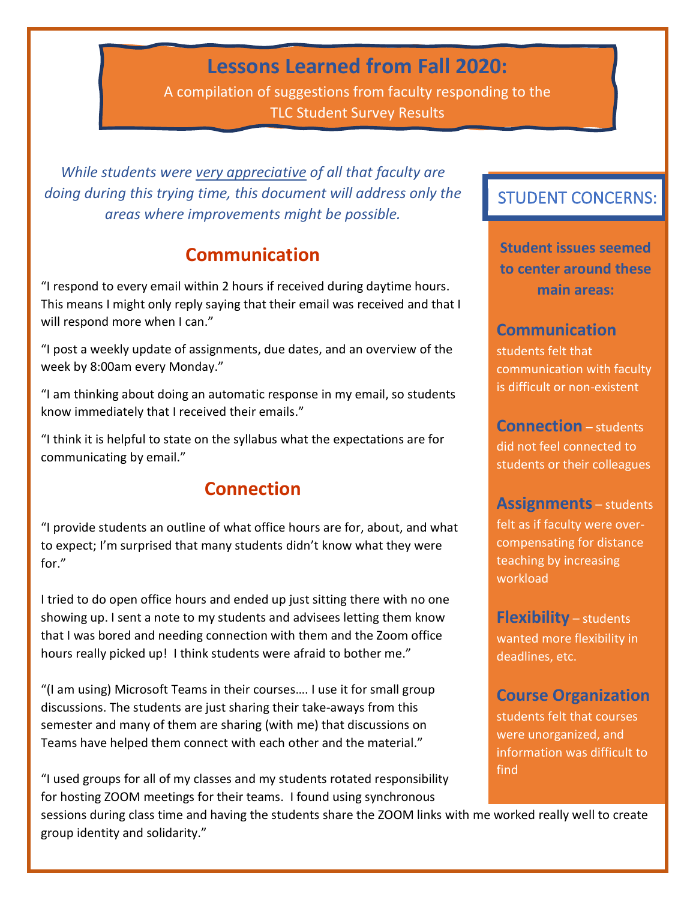# **Lessons Learned from Fall 2020:**

A compilation of suggestions from faculty responding to the TLC Student Survey Results

*While students were very appreciative of all that faculty are doing during this trying time, this document will address only the areas where improvements might be possible.*

## **Communication**

"I respond to every email within 2 hours if received during daytime hours. This means I might only reply saying that their email was received and that I will respond more when I can."

"I post a weekly update of assignments, due dates, and an overview of the week by 8:00am every Monday."

"I am thinking about doing an automatic response in my email, so students know immediately that I received their emails."

"I think it is helpful to state on the syllabus what the expectations are for communicating by email."

## **Connection**

"I provide students an outline of what office hours are for, about, and what to expect; I'm surprised that many students didn't know what they were for."

I tried to do open office hours and ended up just sitting there with no one showing up. I sent a note to my students and advisees letting them know that I was bored and needing connection with them and the Zoom office hours really picked up! I think students were afraid to bother me."

"(I am using) Microsoft Teams in their courses…. I use it for small group discussions. The students are just sharing their take-aways from this semester and many of them are sharing (with me) that discussions on Teams have helped them connect with each other and the material."

"I used groups for all of my classes and my students rotated responsibility for hosting ZOOM meetings for their teams. I found using synchronous

## STUDENT CONCERNS:

**Student issues seemed to center around these main areas:**

### **Communication**

students felt that communication with faculty is difficult or non-existent

**Connection** – students did not feel connected to students or their colleagues

#### **Assignments** – students

felt as if faculty were overcompensating for distance teaching by increasing workload

**Flexibility** – students wanted more flexibility in deadlines, etc.

## **Course Organization**

students felt that courses were unorganized, and information was difficult to find

sessions during class time and having the students share the ZOOM links with me worked really well to create group identity and solidarity."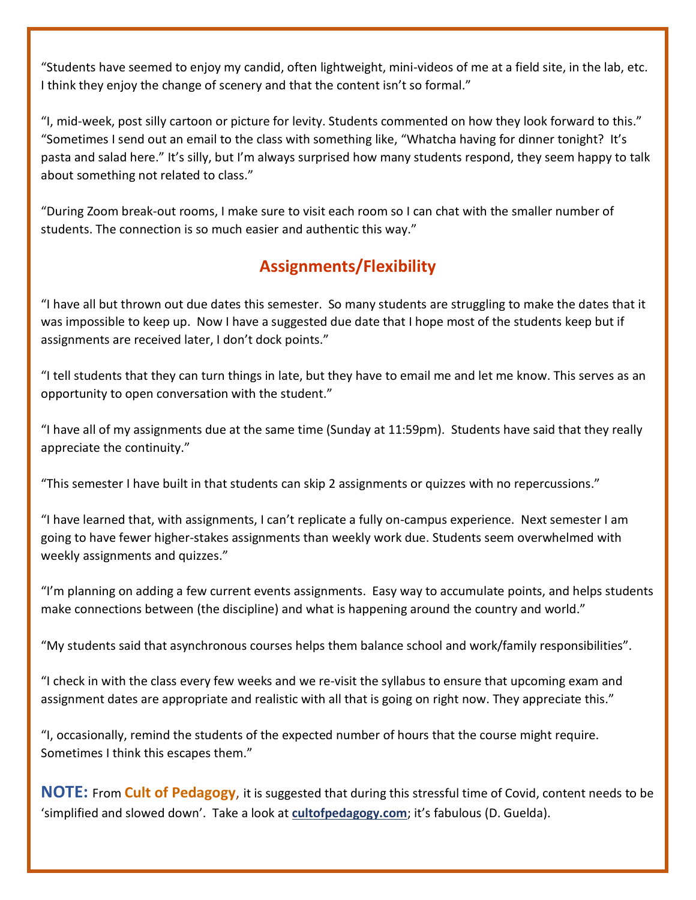"Students have seemed to enjoy my candid, often lightweight, mini-videos of me at a field site, in the lab, etc. I think they enjoy the change of scenery and that the content isn't so formal."

"I, mid-week, post silly cartoon or picture for levity. Students commented on how they look forward to this." "Sometimes I send out an email to the class with something like, "Whatcha having for dinner tonight? It's pasta and salad here." It's silly, but I'm always surprised how many students respond, they seem happy to talk about something not related to class."

"During Zoom break-out rooms, I make sure to visit each room so I can chat with the smaller number of students. The connection is so much easier and authentic this way."

## **Assignments/Flexibility**

"I have all but thrown out due dates this semester. So many students are struggling to make the dates that it was impossible to keep up. Now I have a suggested due date that I hope most of the students keep but if assignments are received later, I don't dock points."

"I tell students that they can turn things in late, but they have to email me and let me know. This serves as an opportunity to open conversation with the student."

"I have all of my assignments due at the same time (Sunday at 11:59pm). Students have said that they really appreciate the continuity."

"This semester I have built in that students can skip 2 assignments or quizzes with no repercussions."

"I have learned that, with assignments, I can't replicate a fully on-campus experience. Next semester I am going to have fewer higher-stakes assignments than weekly work due. Students seem overwhelmed with weekly assignments and quizzes."

"I'm planning on adding a few current events assignments. Easy way to accumulate points, and helps students make connections between (the discipline) and what is happening around the country and world."

"My students said that asynchronous courses helps them balance school and work/family responsibilities".

"I check in with the class every few weeks and we re-visit the syllabus to ensure that upcoming exam and assignment dates are appropriate and realistic with all that is going on right now. They appreciate this."

"I, occasionally, remind the students of the expected number of hours that the course might require. Sometimes I think this escapes them."

**NOTE:** From **Cult of Pedagogy**, it is suggested that during this stressful time of Covid, content needs to be 'simplified and slowed down'. Take a look at **[cultofpedagogy.com](http://www.cultofpedagogy.com/)**; it's fabulous (D. Guelda).